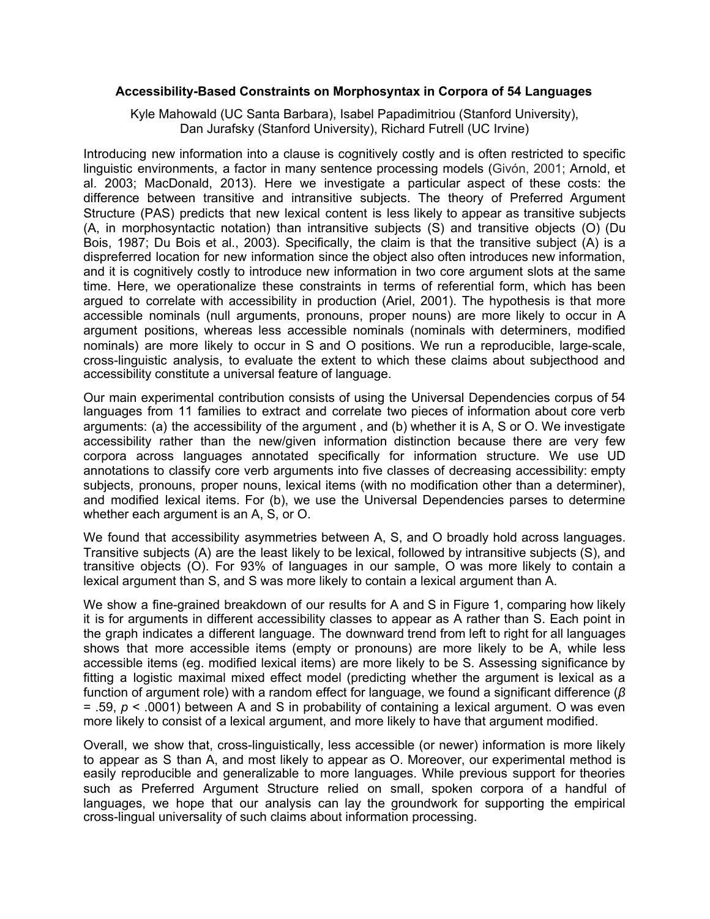## **Accessibility-Based Constraints on Morphosyntax in Corpora of 54 Languages**

Kyle Mahowald (UC Santa Barbara), Isabel Papadimitriou (Stanford University), Dan Jurafsky (Stanford University), Richard Futrell (UC Irvine)

Introducing new information into a clause is cognitively costly and is often restricted to specific linguistic environments, a factor in many sentence processing models (Givón, 2001; Arnold, et al. 2003; MacDonald, 2013). Here we investigate a particular aspect of these costs: the difference between transitive and intransitive subjects. The theory of Preferred Argument Structure (PAS) predicts that new lexical content is less likely to appear as transitive subjects (A, in morphosyntactic notation) than intransitive subjects (S) and transitive objects (O) (Du Bois, 1987; Du Bois et al., 2003). Specifically, the claim is that the transitive subject (A) is a dispreferred location for new information since the object also often introduces new information, and it is cognitively costly to introduce new information in two core argument slots at the same time. Here, we operationalize these constraints in terms of referential form, which has been argued to correlate with accessibility in production (Ariel, 2001). The hypothesis is that more accessible nominals (null arguments, pronouns, proper nouns) are more likely to occur in A argument positions, whereas less accessible nominals (nominals with determiners, modified nominals) are more likely to occur in S and O positions. We run a reproducible, large-scale, cross-linguistic analysis, to evaluate the extent to which these claims about subjecthood and accessibility constitute a universal feature of language.

Our main experimental contribution consists of using the Universal Dependencies corpus of 54 languages from 11 families to extract and correlate two pieces of information about core verb arguments: (a) the accessibility of the argument , and (b) whether it is A, S or O. We investigate accessibility rather than the new/given information distinction because there are very few corpora across languages annotated specifically for information structure. We use UD annotations to classify core verb arguments into five classes of decreasing accessibility: empty subjects, pronouns, proper nouns, lexical items (with no modification other than a determiner), and modified lexical items. For (b), we use the Universal Dependencies parses to determine whether each argument is an A, S, or O.

We found that accessibility asymmetries between A, S, and O broadly hold across languages. Transitive subjects (A) are the least likely to be lexical, followed by intransitive subjects (S), and transitive objects (O). For 93% of languages in our sample, O was more likely to contain a lexical argument than S, and S was more likely to contain a lexical argument than A.

We show a fine-grained breakdown of our results for A and S in Figure 1, comparing how likely it is for arguments in different accessibility classes to appear as A rather than S. Each point in the graph indicates a different language. The downward trend from left to right for all languages shows that more accessible items (empty or pronouns) are more likely to be A, while less accessible items (eg. modified lexical items) are more likely to be S. Assessing significance by fitting a logistic maximal mixed effect model (predicting whether the argument is lexical as a function of argument role) with a random effect for language, we found a significant difference (*β* = .59, *p* < .0001) between A and S in probability of containing a lexical argument. O was even more likely to consist of a lexical argument, and more likely to have that argument modified.

Overall, we show that, cross-linguistically, less accessible (or newer) information is more likely to appear as S than A, and most likely to appear as O. Moreover, our experimental method is easily reproducible and generalizable to more languages. While previous support for theories such as Preferred Argument Structure relied on small, spoken corpora of a handful of languages, we hope that our analysis can lay the groundwork for supporting the empirical cross-lingual universality of such claims about information processing.